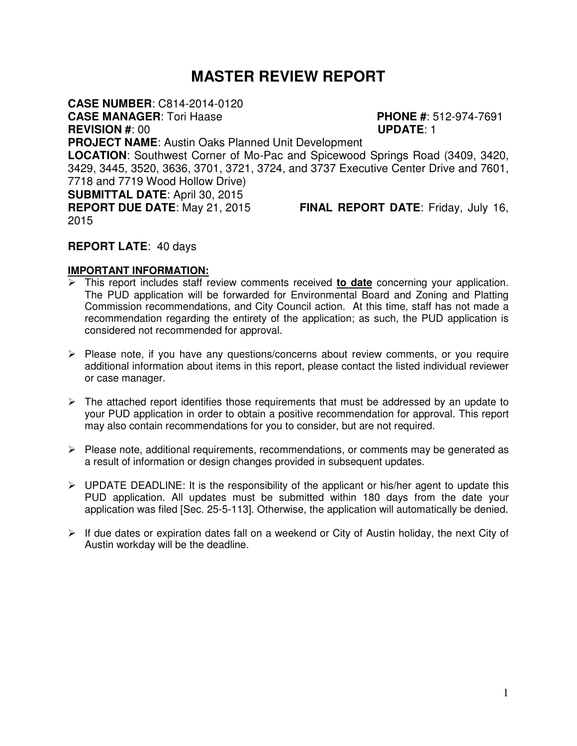# **MASTER REVIEW REPORT**

**CASE NUMBER**: C814-2014-0120

**CASE MANAGER**: Tori Haase **PHONE #**: 512-974-7691

**REVISION #**: 00 **UPDATE**: 1

**PROJECT NAME**: Austin Oaks Planned Unit Development

**LOCATION**: Southwest Corner of Mo-Pac and Spicewood Springs Road (3409, 3420, 3429, 3445, 3520, 3636, 3701, 3721, 3724, and 3737 Executive Center Drive and 7601, 7718 and 7719 Wood Hollow Drive)

**SUBMITTAL DATE**: April 30, 2015

2015

**REPORT DUE DATE**: May 21, 2015 **FINAL REPORT DATE**: Friday, July 16,

# **REPORT LATE**: 40 days

# **IMPORTANT INFORMATION:**

- This report includes staff review comments received **to date** concerning your application. The PUD application will be forwarded for Environmental Board and Zoning and Platting Commission recommendations, and City Council action. At this time, staff has not made a recommendation regarding the entirety of the application; as such, the PUD application is considered not recommended for approval.
- $\triangleright$  Please note, if you have any questions/concerns about review comments, or you require additional information about items in this report, please contact the listed individual reviewer or case manager.
- $\triangleright$  The attached report identifies those requirements that must be addressed by an update to your PUD application in order to obtain a positive recommendation for approval. This report may also contain recommendations for you to consider, but are not required.
- $\triangleright$  Please note, additional requirements, recommendations, or comments may be generated as a result of information or design changes provided in subsequent updates.
- $\triangleright$  UPDATE DEADLINE: It is the responsibility of the applicant or his/her agent to update this PUD application. All updates must be submitted within 180 days from the date your application was filed [Sec. 25-5-113]. Otherwise, the application will automatically be denied.
- $\triangleright$  If due dates or expiration dates fall on a weekend or City of Austin holiday, the next City of Austin workday will be the deadline.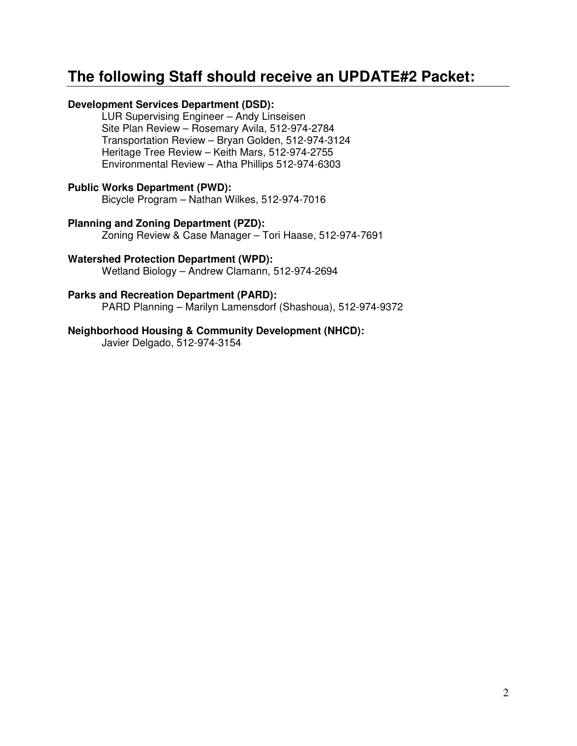# **The following Staff should receive an UPDATE#2 Packet:**

### **Development Services Department (DSD):**

LUR Supervising Engineer – Andy Linseisen Site Plan Review – Rosemary Avila, 512-974-2784 Transportation Review – Bryan Golden, 512-974-3124 Heritage Tree Review – Keith Mars, 512-974-2755 Environmental Review – Atha Phillips 512-974-6303

#### **Public Works Department (PWD):**

Bicycle Program – Nathan Wilkes, 512-974-7016

### **Planning and Zoning Department (PZD):**

Zoning Review & Case Manager – Tori Haase, 512-974-7691

#### **Watershed Protection Department (WPD):**

Wetland Biology – Andrew Clamann, 512-974-2694

#### **Parks and Recreation Department (PARD):**

PARD Planning – Marilyn Lamensdorf (Shashoua), 512-974-9372

#### **Neighborhood Housing & Community Development (NHCD):**

Javier Delgado, 512-974-3154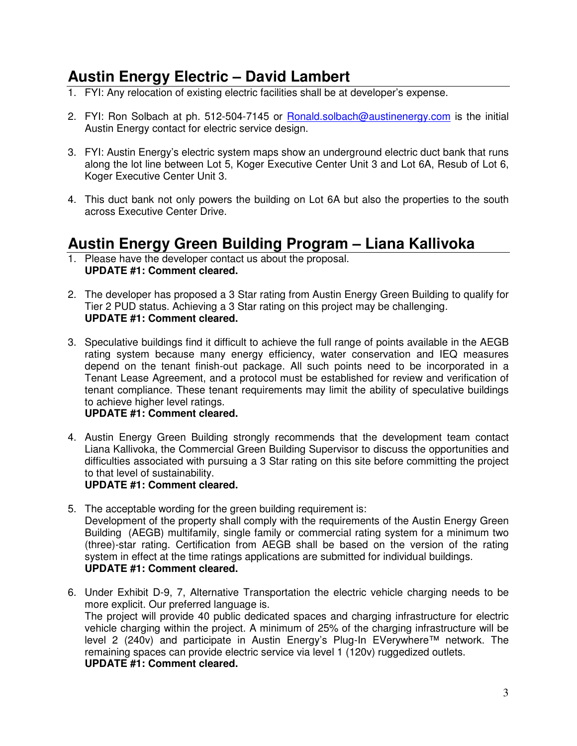# **Austin Energy Electric – David Lambert**

- 1. FYI: Any relocation of existing electric facilities shall be at developer's expense.
- 2. FYI: Ron Solbach at ph. 512-504-7145 or Ronald.solbach@austinenergy.com is the initial Austin Energy contact for electric service design.
- 3. FYI: Austin Energy's electric system maps show an underground electric duct bank that runs along the lot line between Lot 5, Koger Executive Center Unit 3 and Lot 6A, Resub of Lot 6, Koger Executive Center Unit 3.
- 4. This duct bank not only powers the building on Lot 6A but also the properties to the south across Executive Center Drive.

# **Austin Energy Green Building Program – Liana Kallivoka**

- 1. Please have the developer contact us about the proposal. **UPDATE #1: Comment cleared.**
- 2. The developer has proposed a 3 Star rating from Austin Energy Green Building to qualify for Tier 2 PUD status. Achieving a 3 Star rating on this project may be challenging. **UPDATE #1: Comment cleared.**
- 3. Speculative buildings find it difficult to achieve the full range of points available in the AEGB rating system because many energy efficiency, water conservation and IEQ measures depend on the tenant finish-out package. All such points need to be incorporated in a Tenant Lease Agreement, and a protocol must be established for review and verification of tenant compliance. These tenant requirements may limit the ability of speculative buildings to achieve higher level ratings.

### **UPDATE #1: Comment cleared.**

4. Austin Energy Green Building strongly recommends that the development team contact Liana Kallivoka, the Commercial Green Building Supervisor to discuss the opportunities and difficulties associated with pursuing a 3 Star rating on this site before committing the project to that level of sustainability.

### **UPDATE #1: Comment cleared.**

- 5. The acceptable wording for the green building requirement is: Development of the property shall comply with the requirements of the Austin Energy Green Building (AEGB) multifamily, single family or commercial rating system for a minimum two (three)-star rating. Certification from AEGB shall be based on the version of the rating system in effect at the time ratings applications are submitted for individual buildings. **UPDATE #1: Comment cleared.**
- 6. Under Exhibit D-9, 7, Alternative Transportation the electric vehicle charging needs to be more explicit. Our preferred language is. The project will provide 40 public dedicated spaces and charging infrastructure for electric vehicle charging within the project. A minimum of 25% of the charging infrastructure will be level 2 (240v) and participate in Austin Energy's Plug-In EVerywhere™ network. The remaining spaces can provide electric service via level 1 (120v) ruggedized outlets. **UPDATE #1: Comment cleared.**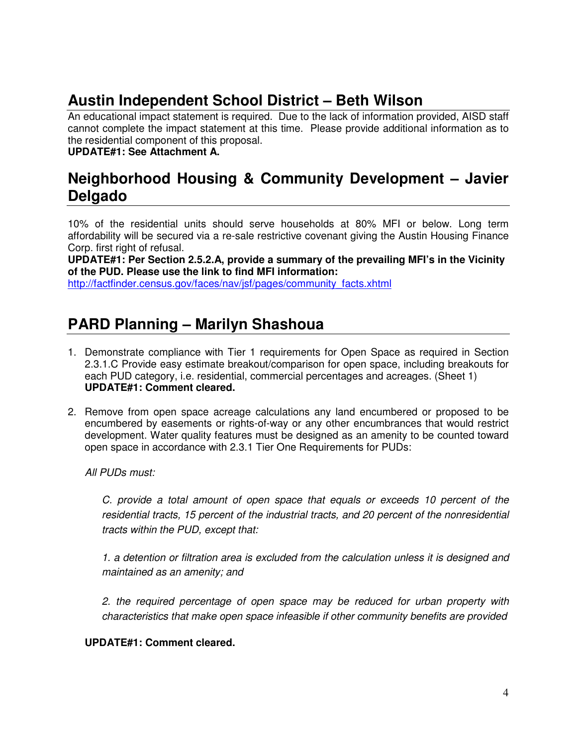# **Austin Independent School District – Beth Wilson**

An educational impact statement is required. Due to the lack of information provided, AISD staff cannot complete the impact statement at this time. Please provide additional information as to the residential component of this proposal.

### **UPDATE#1: See Attachment A.**

# **Neighborhood Housing & Community Development – Javier Delgado**

10% of the residential units should serve households at 80% MFI or below. Long term affordability will be secured via a re-sale restrictive covenant giving the Austin Housing Finance Corp. first right of refusal.

**UPDATE#1: Per Section 2.5.2.A, provide a summary of the prevailing MFI's in the Vicinity of the PUD. Please use the link to find MFI information:** 

http://factfinder.census.gov/faces/nav/isf/pages/community\_facts.xhtml

# **PARD Planning – Marilyn Shashoua**

- 1. Demonstrate compliance with Tier 1 requirements for Open Space as required in Section 2.3.1.C Provide easy estimate breakout/comparison for open space, including breakouts for each PUD category, i.e. residential, commercial percentages and acreages. (Sheet 1) **UPDATE#1: Comment cleared.**
- 2. Remove from open space acreage calculations any land encumbered or proposed to be encumbered by easements or rights-of-way or any other encumbrances that would restrict development. Water quality features must be designed as an amenity to be counted toward open space in accordance with 2.3.1 Tier One Requirements for PUDs:

All PUDs must:

C. provide a total amount of open space that equals or exceeds 10 percent of the residential tracts, 15 percent of the industrial tracts, and 20 percent of the nonresidential tracts within the PUD, except that:

1. a detention or filtration area is excluded from the calculation unless it is designed and maintained as an amenity; and

2. the required percentage of open space may be reduced for urban property with characteristics that make open space infeasible if other community benefits are provided

**UPDATE#1: Comment cleared.**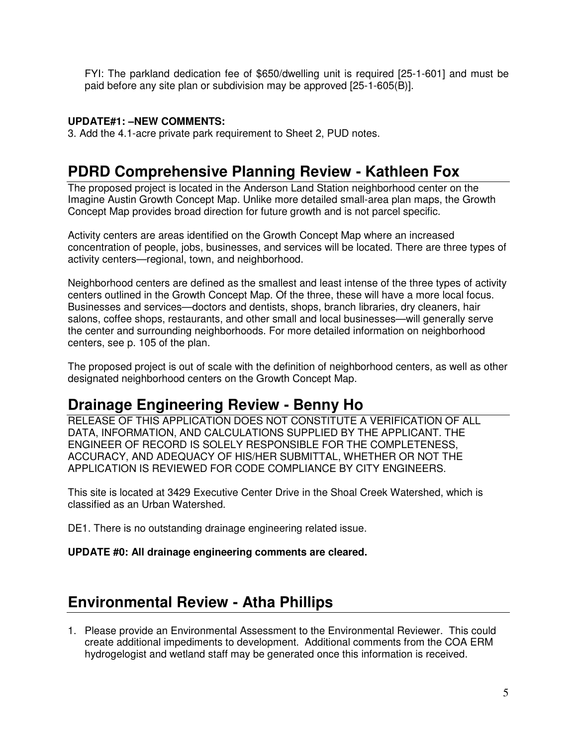FYI: The parkland dedication fee of \$650/dwelling unit is required [25-1-601] and must be paid before any site plan or subdivision may be approved [25-1-605(B)].

#### **UPDATE#1: –NEW COMMENTS:**

3. Add the 4.1-acre private park requirement to Sheet 2, PUD notes.

# **PDRD Comprehensive Planning Review - Kathleen Fox**

The proposed project is located in the Anderson Land Station neighborhood center on the Imagine Austin Growth Concept Map. Unlike more detailed small-area plan maps, the Growth Concept Map provides broad direction for future growth and is not parcel specific.

Activity centers are areas identified on the Growth Concept Map where an increased concentration of people, jobs, businesses, and services will be located. There are three types of activity centers—regional, town, and neighborhood.

Neighborhood centers are defined as the smallest and least intense of the three types of activity centers outlined in the Growth Concept Map. Of the three, these will have a more local focus. Businesses and services—doctors and dentists, shops, branch libraries, dry cleaners, hair salons, coffee shops, restaurants, and other small and local businesses—will generally serve the center and surrounding neighborhoods. For more detailed information on neighborhood centers, see p. 105 of the plan.

The proposed project is out of scale with the definition of neighborhood centers, as well as other designated neighborhood centers on the Growth Concept Map.

# **Drainage Engineering Review - Benny Ho**

RELEASE OF THIS APPLICATION DOES NOT CONSTITUTE A VERIFICATION OF ALL DATA, INFORMATION, AND CALCULATIONS SUPPLIED BY THE APPLICANT. THE ENGINEER OF RECORD IS SOLELY RESPONSIBLE FOR THE COMPLETENESS, ACCURACY, AND ADEQUACY OF HIS/HER SUBMITTAL, WHETHER OR NOT THE APPLICATION IS REVIEWED FOR CODE COMPLIANCE BY CITY ENGINEERS.

This site is located at 3429 Executive Center Drive in the Shoal Creek Watershed, which is classified as an Urban Watershed.

DE1. There is no outstanding drainage engineering related issue.

#### **UPDATE #0: All drainage engineering comments are cleared.**

# **Environmental Review - Atha Phillips**

1. Please provide an Environmental Assessment to the Environmental Reviewer. This could create additional impediments to development. Additional comments from the COA ERM hydrogelogist and wetland staff may be generated once this information is received.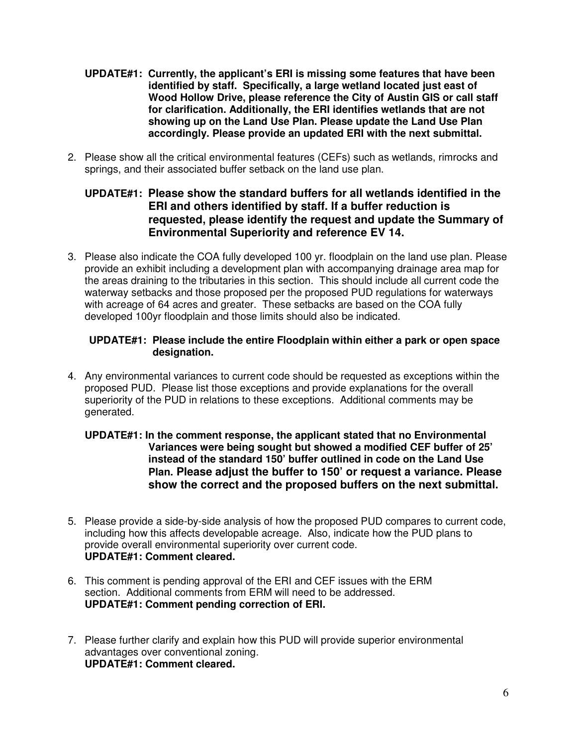- **UPDATE#1: Currently, the applicant's ERI is missing some features that have been identified by staff. Specifically, a large wetland located just east of Wood Hollow Drive, please reference the City of Austin GIS or call staff for clarification. Additionally, the ERI identifies wetlands that are not showing up on the Land Use Plan. Please update the Land Use Plan accordingly. Please provide an updated ERI with the next submittal.**
- 2. Please show all the critical environmental features (CEFs) such as wetlands, rimrocks and springs, and their associated buffer setback on the land use plan.

### **UPDATE#1: Please show the standard buffers for all wetlands identified in the ERI and others identified by staff. If a buffer reduction is requested, please identify the request and update the Summary of Environmental Superiority and reference EV 14.**

3. Please also indicate the COA fully developed 100 yr. floodplain on the land use plan. Please provide an exhibit including a development plan with accompanying drainage area map for the areas draining to the tributaries in this section. This should include all current code the waterway setbacks and those proposed per the proposed PUD regulations for waterways with acreage of 64 acres and greater. These setbacks are based on the COA fully developed 100yr floodplain and those limits should also be indicated.

#### **UPDATE#1: Please include the entire Floodplain within either a park or open space designation.**

4. Any environmental variances to current code should be requested as exceptions within the proposed PUD. Please list those exceptions and provide explanations for the overall superiority of the PUD in relations to these exceptions. Additional comments may be generated.

### **UPDATE#1: In the comment response, the applicant stated that no Environmental Variances were being sought but showed a modified CEF buffer of 25' instead of the standard 150' buffer outlined in code on the Land Use Plan. Please adjust the buffer to 150' or request a variance. Please show the correct and the proposed buffers on the next submittal.**

- 5. Please provide a side-by-side analysis of how the proposed PUD compares to current code, including how this affects developable acreage. Also, indicate how the PUD plans to provide overall environmental superiority over current code. **UPDATE#1: Comment cleared.**
- 6. This comment is pending approval of the ERI and CEF issues with the ERM section. Additional comments from ERM will need to be addressed. **UPDATE#1: Comment pending correction of ERI.**
- 7. Please further clarify and explain how this PUD will provide superior environmental advantages over conventional zoning. **UPDATE#1: Comment cleared.**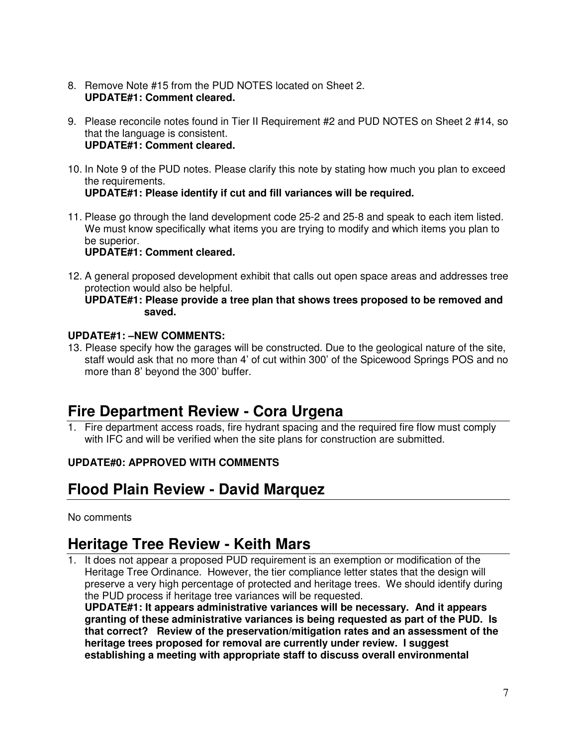- 8. Remove Note #15 from the PUD NOTES located on Sheet 2. **UPDATE#1: Comment cleared.**
- 9. Please reconcile notes found in Tier II Requirement #2 and PUD NOTES on Sheet 2 #14, so that the language is consistent. **UPDATE#1: Comment cleared.**
- 10. In Note 9 of the PUD notes. Please clarify this note by stating how much you plan to exceed the requirements. **UPDATE#1: Please identify if cut and fill variances will be required.**
- 11. Please go through the land development code 25-2 and 25-8 and speak to each item listed. We must know specifically what items you are trying to modify and which items you plan to be superior. **UPDATE#1: Comment cleared.**
- 12. A general proposed development exhibit that calls out open space areas and addresses tree protection would also be helpful.

#### **UPDATE#1: Please provide a tree plan that shows trees proposed to be removed and saved.**

### **UPDATE#1: –NEW COMMENTS:**

13. Please specify how the garages will be constructed. Due to the geological nature of the site, staff would ask that no more than 4' of cut within 300' of the Spicewood Springs POS and no more than 8' beyond the 300' buffer.

# **Fire Department Review - Cora Urgena**

1. Fire department access roads, fire hydrant spacing and the required fire flow must comply with IFC and will be verified when the site plans for construction are submitted.

# **UPDATE#0: APPROVED WITH COMMENTS**

# **Flood Plain Review - David Marquez**

No comments

# **Heritage Tree Review - Keith Mars**

1. It does not appear a proposed PUD requirement is an exemption or modification of the Heritage Tree Ordinance. However, the tier compliance letter states that the design will preserve a very high percentage of protected and heritage trees. We should identify during the PUD process if heritage tree variances will be requested.

**UPDATE#1: It appears administrative variances will be necessary. And it appears granting of these administrative variances is being requested as part of the PUD. Is that correct? Review of the preservation/mitigation rates and an assessment of the heritage trees proposed for removal are currently under review. I suggest establishing a meeting with appropriate staff to discuss overall environmental**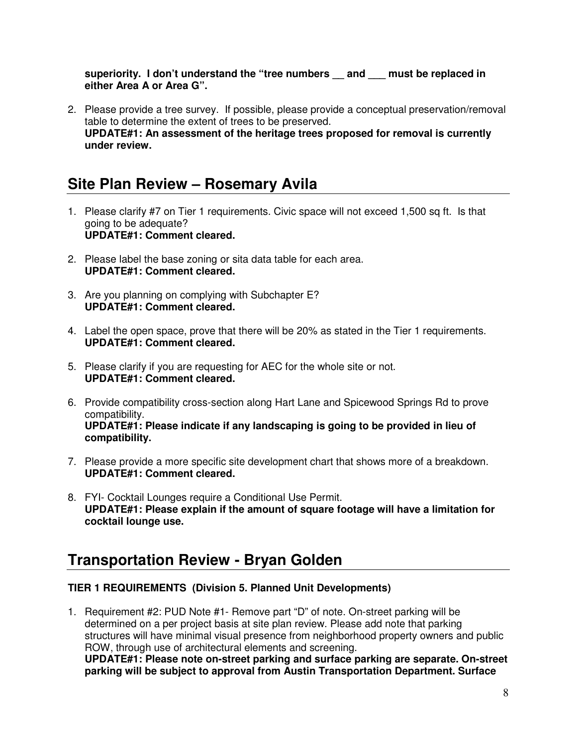**superiority. I don't understand the "tree numbers \_\_ and \_\_\_ must be replaced in either Area A or Area G".** 

2. Please provide a tree survey. If possible, please provide a conceptual preservation/removal table to determine the extent of trees to be preserved. **UPDATE#1: An assessment of the heritage trees proposed for removal is currently under review.** 

# **Site Plan Review – Rosemary Avila**

- 1. Please clarify #7 on Tier 1 requirements. Civic space will not exceed 1,500 sq ft. Is that going to be adequate? **UPDATE#1: Comment cleared.**
- 2. Please label the base zoning or sita data table for each area. **UPDATE#1: Comment cleared.**
- 3. Are you planning on complying with Subchapter E? **UPDATE#1: Comment cleared.**
- 4. Label the open space, prove that there will be 20% as stated in the Tier 1 requirements. **UPDATE#1: Comment cleared.**
- 5. Please clarify if you are requesting for AEC for the whole site or not. **UPDATE#1: Comment cleared.**
- 6. Provide compatibility cross-section along Hart Lane and Spicewood Springs Rd to prove compatibility. **UPDATE#1: Please indicate if any landscaping is going to be provided in lieu of compatibility.**
- 7. Please provide a more specific site development chart that shows more of a breakdown. **UPDATE#1: Comment cleared.**
- 8. FYI- Cocktail Lounges require a Conditional Use Permit. **UPDATE#1: Please explain if the amount of square footage will have a limitation for cocktail lounge use.**

# **Transportation Review - Bryan Golden**

### **TIER 1 REQUIREMENTS (Division 5. Planned Unit Developments)**

1. Requirement #2: PUD Note #1- Remove part "D" of note. On-street parking will be determined on a per project basis at site plan review. Please add note that parking structures will have minimal visual presence from neighborhood property owners and public ROW, through use of architectural elements and screening. **UPDATE#1: Please note on-street parking and surface parking are separate. On-street parking will be subject to approval from Austin Transportation Department. Surface**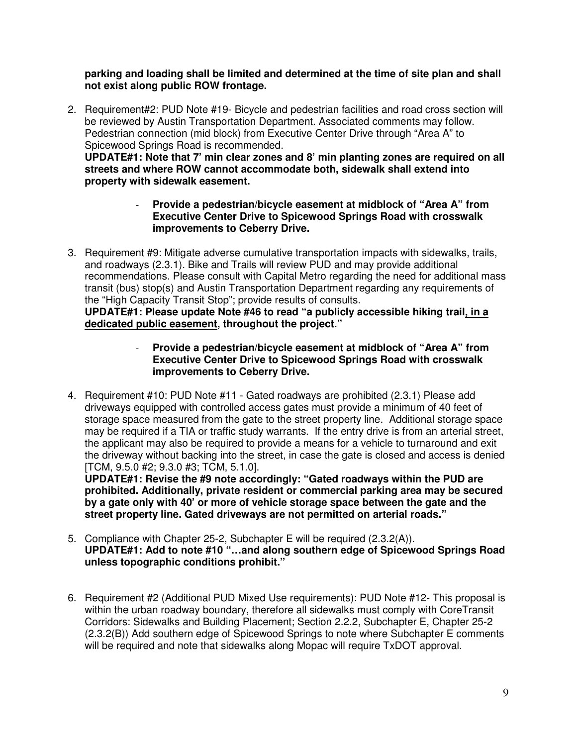#### **parking and loading shall be limited and determined at the time of site plan and shall not exist along public ROW frontage.**

2. Requirement#2: PUD Note #19- Bicycle and pedestrian facilities and road cross section will be reviewed by Austin Transportation Department. Associated comments may follow. Pedestrian connection (mid block) from Executive Center Drive through "Area A" to Spicewood Springs Road is recommended.

**UPDATE#1: Note that 7' min clear zones and 8' min planting zones are required on all streets and where ROW cannot accommodate both, sidewalk shall extend into property with sidewalk easement.** 

- **Provide a pedestrian/bicycle easement at midblock of "Area A" from Executive Center Drive to Spicewood Springs Road with crosswalk improvements to Ceberry Drive.**
- 3. Requirement #9: Mitigate adverse cumulative transportation impacts with sidewalks, trails, and roadways (2.3.1). Bike and Trails will review PUD and may provide additional recommendations. Please consult with Capital Metro regarding the need for additional mass transit (bus) stop(s) and Austin Transportation Department regarding any requirements of the "High Capacity Transit Stop"; provide results of consults.

**UPDATE#1: Please update Note #46 to read "a publicly accessible hiking trail, in a dedicated public easement, throughout the project."**

- **Provide a pedestrian/bicycle easement at midblock of "Area A" from Executive Center Drive to Spicewood Springs Road with crosswalk improvements to Ceberry Drive.**
- 4. Requirement #10: PUD Note #11 Gated roadways are prohibited (2.3.1) Please add driveways equipped with controlled access gates must provide a minimum of 40 feet of storage space measured from the gate to the street property line. Additional storage space may be required if a TIA or traffic study warrants. If the entry drive is from an arterial street, the applicant may also be required to provide a means for a vehicle to turnaround and exit the driveway without backing into the street, in case the gate is closed and access is denied [TCM, 9.5.0 #2; 9.3.0 #3; TCM, 5.1.0].

**UPDATE#1: Revise the #9 note accordingly: "Gated roadways within the PUD are prohibited. Additionally, private resident or commercial parking area may be secured by a gate only with 40' or more of vehicle storage space between the gate and the street property line. Gated driveways are not permitted on arterial roads."** 

- 5. Compliance with Chapter 25-2, Subchapter E will be required (2.3.2(A)). **UPDATE#1: Add to note #10 "…and along southern edge of Spicewood Springs Road unless topographic conditions prohibit."**
- 6. Requirement #2 (Additional PUD Mixed Use requirements): PUD Note #12- This proposal is within the urban roadway boundary, therefore all sidewalks must comply with CoreTransit Corridors: Sidewalks and Building Placement; Section 2.2.2, Subchapter E, Chapter 25-2 (2.3.2(B)) Add southern edge of Spicewood Springs to note where Subchapter E comments will be required and note that sidewalks along Mopac will require TxDOT approval.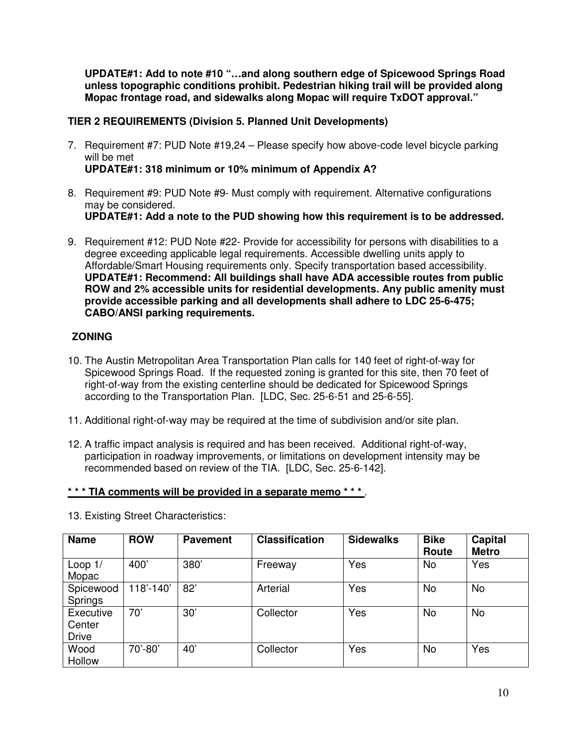**UPDATE#1: Add to note #10 "…and along southern edge of Spicewood Springs Road unless topographic conditions prohibit. Pedestrian hiking trail will be provided along Mopac frontage road, and sidewalks along Mopac will require TxDOT approval."** 

### **TIER 2 REQUIREMENTS (Division 5. Planned Unit Developments)**

- 7. Requirement #7: PUD Note #19,24 Please specify how above-code level bicycle parking will be met **UPDATE#1: 318 minimum or 10% minimum of Appendix A?**
- 8. Requirement #9: PUD Note #9- Must comply with requirement. Alternative configurations may be considered. **UPDATE#1: Add a note to the PUD showing how this requirement is to be addressed.**
- 9. Requirement #12: PUD Note #22- Provide for accessibility for persons with disabilities to a degree exceeding applicable legal requirements. Accessible dwelling units apply to Affordable/Smart Housing requirements only. Specify transportation based accessibility. **UPDATE#1: Recommend: All buildings shall have ADA accessible routes from public ROW and 2% accessible units for residential developments. Any public amenity must provide accessible parking and all developments shall adhere to LDC 25-6-475; CABO/ANSI parking requirements.**

### **ZONING**

- 10. The Austin Metropolitan Area Transportation Plan calls for 140 feet of right-of-way for Spicewood Springs Road. If the requested zoning is granted for this site, then 70 feet of right-of-way from the existing centerline should be dedicated for Spicewood Springs according to the Transportation Plan. [LDC, Sec. 25-6-51 and 25-6-55].
- 11. Additional right-of-way may be required at the time of subdivision and/or site plan.
- 12. A traffic impact analysis is required and has been received. Additional right-of-way, participation in roadway improvements, or limitations on development intensity may be recommended based on review of the TIA. [LDC, Sec. 25-6-142].

#### **\* \* \* TIA comments will be provided in a separate memo \* \* \*** .

| <b>Name</b>                         | <b>ROW</b> | <b>Pavement</b> | <b>Classification</b> | <b>Sidewalks</b> | <b>Bike</b><br>Route | <b>Capital</b><br><b>Metro</b> |
|-------------------------------------|------------|-----------------|-----------------------|------------------|----------------------|--------------------------------|
| Loop $1/$<br>Mopac                  | 400'       | 380             | Freeway               | Yes              | No                   | Yes                            |
| Spicewood<br>Springs                | 118'-140'  | 82'             | Arterial              | Yes              | No                   | <b>No</b>                      |
| Executive<br>Center<br><b>Drive</b> | 70'        | 30'             | Collector             | Yes              | No                   | No                             |
| Wood<br>Hollow                      | 70'-80'    | 40'             | Collector             | Yes              | No                   | Yes                            |

13. Existing Street Characteristics: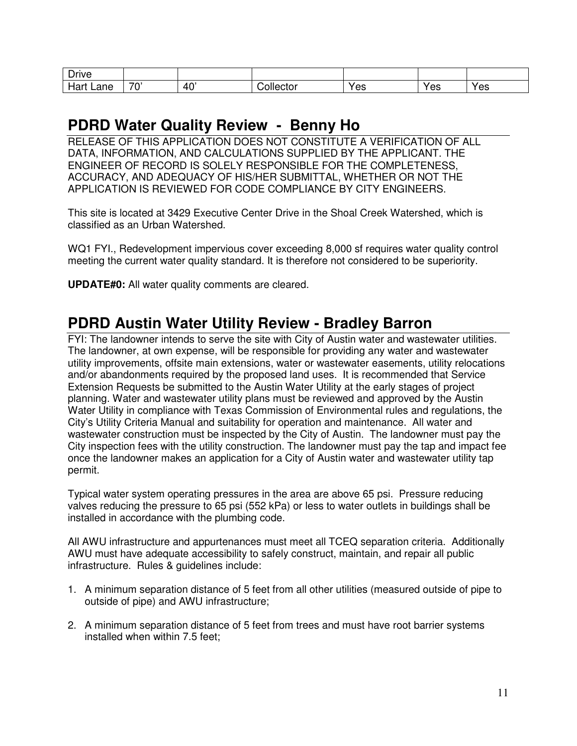| $\overline{\phantom{a}}$<br><b>Drive</b> |    |                 |             |     |     |     |
|------------------------------------------|----|-----------------|-------------|-----|-----|-----|
| lar<br>∟ane                              | 70 | 40 <sup>°</sup> | ப⊖∈<br>ator | Yes | Yes | Yes |

# **PDRD Water Quality Review - Benny Ho**

RELEASE OF THIS APPLICATION DOES NOT CONSTITUTE A VERIFICATION OF ALL DATA, INFORMATION, AND CALCULATIONS SUPPLIED BY THE APPLICANT. THE ENGINEER OF RECORD IS SOLELY RESPONSIBLE FOR THE COMPLETENESS, ACCURACY, AND ADEQUACY OF HIS/HER SUBMITTAL, WHETHER OR NOT THE APPLICATION IS REVIEWED FOR CODE COMPLIANCE BY CITY ENGINEERS.

This site is located at 3429 Executive Center Drive in the Shoal Creek Watershed, which is classified as an Urban Watershed.

WQ1 FYI., Redevelopment impervious cover exceeding 8,000 sf requires water quality control meeting the current water quality standard. It is therefore not considered to be superiority.

**UPDATE#0:** All water quality comments are cleared.

# **PDRD Austin Water Utility Review - Bradley Barron**

FYI: The landowner intends to serve the site with City of Austin water and wastewater utilities. The landowner, at own expense, will be responsible for providing any water and wastewater utility improvements, offsite main extensions, water or wastewater easements, utility relocations and/or abandonments required by the proposed land uses. It is recommended that Service Extension Requests be submitted to the Austin Water Utility at the early stages of project planning. Water and wastewater utility plans must be reviewed and approved by the Austin Water Utility in compliance with Texas Commission of Environmental rules and regulations, the City's Utility Criteria Manual and suitability for operation and maintenance. All water and wastewater construction must be inspected by the City of Austin. The landowner must pay the City inspection fees with the utility construction. The landowner must pay the tap and impact fee once the landowner makes an application for a City of Austin water and wastewater utility tap permit.

Typical water system operating pressures in the area are above 65 psi. Pressure reducing valves reducing the pressure to 65 psi (552 kPa) or less to water outlets in buildings shall be installed in accordance with the plumbing code.

All AWU infrastructure and appurtenances must meet all TCEQ separation criteria. Additionally AWU must have adequate accessibility to safely construct, maintain, and repair all public infrastructure. Rules & guidelines include:

- 1. A minimum separation distance of 5 feet from all other utilities (measured outside of pipe to outside of pipe) and AWU infrastructure;
- 2. A minimum separation distance of 5 feet from trees and must have root barrier systems installed when within 7.5 feet;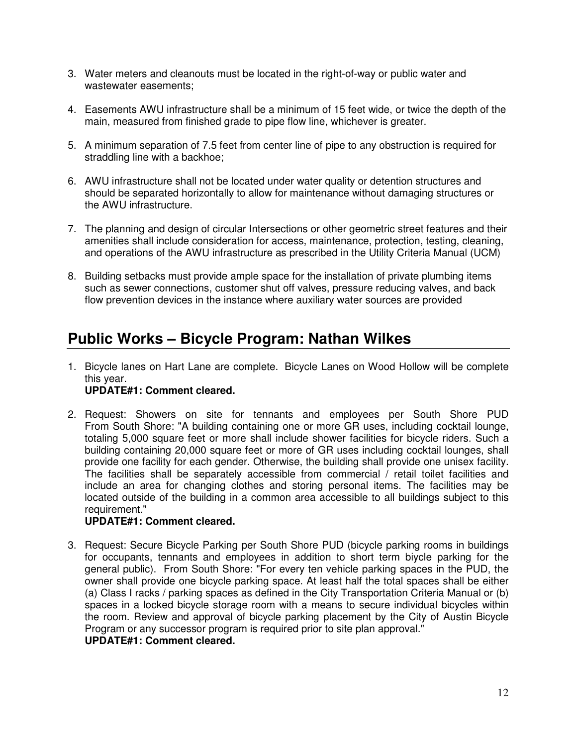- 3. Water meters and cleanouts must be located in the right-of-way or public water and wastewater easements;
- 4. Easements AWU infrastructure shall be a minimum of 15 feet wide, or twice the depth of the main, measured from finished grade to pipe flow line, whichever is greater.
- 5. A minimum separation of 7.5 feet from center line of pipe to any obstruction is required for straddling line with a backhoe;
- 6. AWU infrastructure shall not be located under water quality or detention structures and should be separated horizontally to allow for maintenance without damaging structures or the AWU infrastructure.
- 7. The planning and design of circular Intersections or other geometric street features and their amenities shall include consideration for access, maintenance, protection, testing, cleaning, and operations of the AWU infrastructure as prescribed in the Utility Criteria Manual (UCM)
- 8. Building setbacks must provide ample space for the installation of private plumbing items such as sewer connections, customer shut off valves, pressure reducing valves, and back flow prevention devices in the instance where auxiliary water sources are provided

# **Public Works – Bicycle Program: Nathan Wilkes**

1. Bicycle lanes on Hart Lane are complete. Bicycle Lanes on Wood Hollow will be complete this year.

# **UPDATE#1: Comment cleared.**

2. Request: Showers on site for tennants and employees per South Shore PUD From South Shore: "A building containing one or more GR uses, including cocktail lounge, totaling 5,000 square feet or more shall include shower facilities for bicycle riders. Such a building containing 20,000 square feet or more of GR uses including cocktail lounges, shall provide one facility for each gender. Otherwise, the building shall provide one unisex facility. The facilities shall be separately accessible from commercial / retail toilet facilities and include an area for changing clothes and storing personal items. The facilities may be located outside of the building in a common area accessible to all buildings subject to this requirement."

### **UPDATE#1: Comment cleared.**

3. Request: Secure Bicycle Parking per South Shore PUD (bicycle parking rooms in buildings for occupants, tennants and employees in addition to short term biycle parking for the general public). From South Shore: "For every ten vehicle parking spaces in the PUD, the owner shall provide one bicycle parking space. At least half the total spaces shall be either (a) Class I racks / parking spaces as defined in the City Transportation Criteria Manual or (b) spaces in a locked bicycle storage room with a means to secure individual bicycles within the room. Review and approval of bicycle parking placement by the City of Austin Bicycle Program or any successor program is required prior to site plan approval."

### **UPDATE#1: Comment cleared.**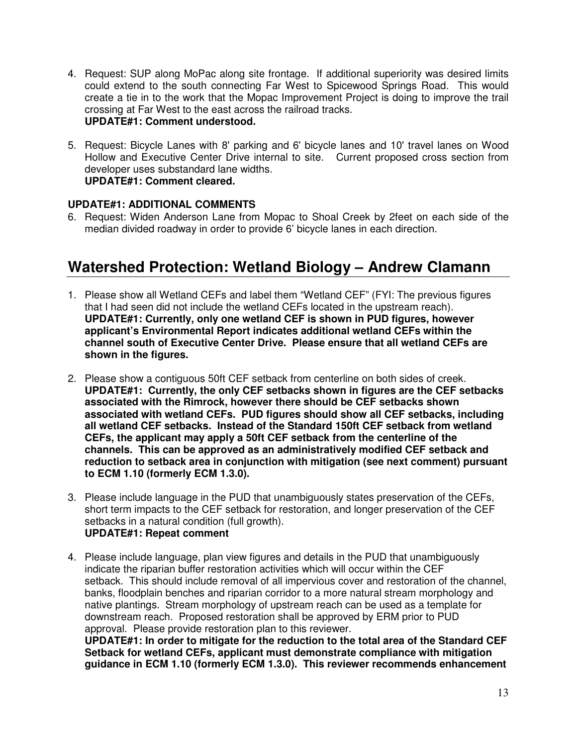- 4. Request: SUP along MoPac along site frontage. If additional superiority was desired limits could extend to the south connecting Far West to Spicewood Springs Road. This would create a tie in to the work that the Mopac Improvement Project is doing to improve the trail crossing at Far West to the east across the railroad tracks. **UPDATE#1: Comment understood.**
- 5. Request: Bicycle Lanes with 8' parking and 6' bicycle lanes and 10' travel lanes on Wood Hollow and Executive Center Drive internal to site. Current proposed cross section from developer uses substandard lane widths. **UPDATE#1: Comment cleared.**

### **UPDATE#1: ADDITIONAL COMMENTS**

6. Request: Widen Anderson Lane from Mopac to Shoal Creek by 2feet on each side of the median divided roadway in order to provide 6' bicycle lanes in each direction.

# **Watershed Protection: Wetland Biology – Andrew Clamann**

- 1. Please show all Wetland CEFs and label them "Wetland CEF" (FYI: The previous figures that I had seen did not include the wetland CEFs located in the upstream reach). **UPDATE#1: Currently, only one wetland CEF is shown in PUD figures, however applicant's Environmental Report indicates additional wetland CEFs within the channel south of Executive Center Drive. Please ensure that all wetland CEFs are shown in the figures.**
- 2. Please show a contiguous 50ft CEF setback from centerline on both sides of creek. **UPDATE#1: Currently, the only CEF setbacks shown in figures are the CEF setbacks associated with the Rimrock, however there should be CEF setbacks shown associated with wetland CEFs. PUD figures should show all CEF setbacks, including all wetland CEF setbacks. Instead of the Standard 150ft CEF setback from wetland CEFs, the applicant may apply a 50ft CEF setback from the centerline of the channels. This can be approved as an administratively modified CEF setback and reduction to setback area in conjunction with mitigation (see next comment) pursuant to ECM 1.10 (formerly ECM 1.3.0).**
- 3. Please include language in the PUD that unambiguously states preservation of the CEFs, short term impacts to the CEF setback for restoration, and longer preservation of the CEF setbacks in a natural condition (full growth). **UPDATE#1: Repeat comment**
- 4. Please include language, plan view figures and details in the PUD that unambiguously indicate the riparian buffer restoration activities which will occur within the CEF setback. This should include removal of all impervious cover and restoration of the channel, banks, floodplain benches and riparian corridor to a more natural stream morphology and native plantings. Stream morphology of upstream reach can be used as a template for downstream reach. Proposed restoration shall be approved by ERM prior to PUD approval. Please provide restoration plan to this reviewer.

**UPDATE#1: In order to mitigate for the reduction to the total area of the Standard CEF Setback for wetland CEFs, applicant must demonstrate compliance with mitigation guidance in ECM 1.10 (formerly ECM 1.3.0). This reviewer recommends enhancement**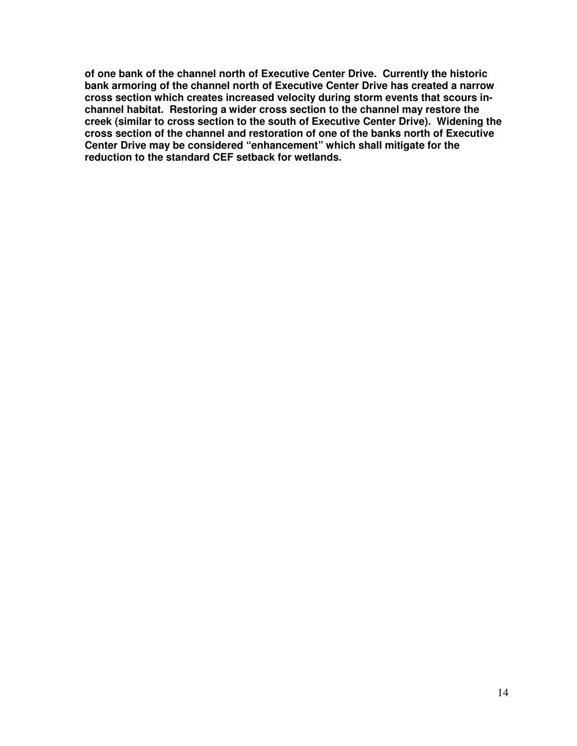**of one bank of the channel north of Executive Center Drive. Currently the historic bank armoring of the channel north of Executive Center Drive has created a narrow cross section which creates increased velocity during storm events that scours inchannel habitat. Restoring a wider cross section to the channel may restore the creek (similar to cross section to the south of Executive Center Drive). Widening the cross section of the channel and restoration of one of the banks north of Executive Center Drive may be considered "enhancement" which shall mitigate for the reduction to the standard CEF setback for wetlands.**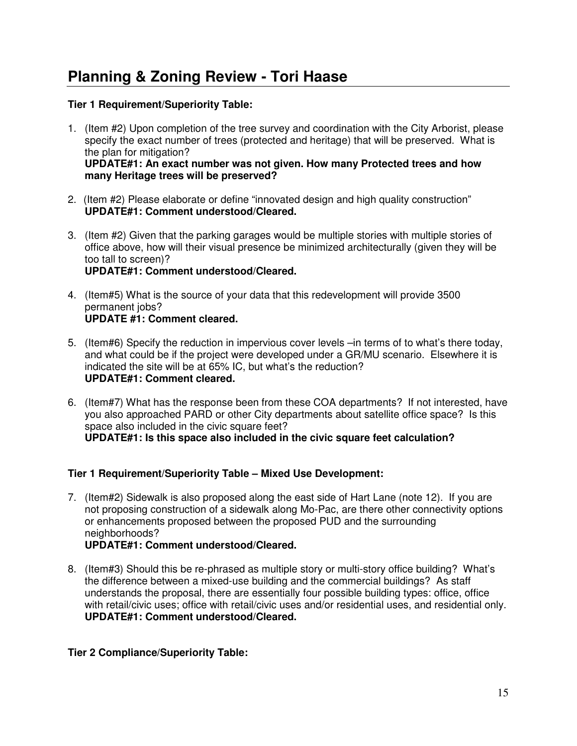# **Planning & Zoning Review - Tori Haase**

### **Tier 1 Requirement/Superiority Table:**

- 1. (Item #2) Upon completion of the tree survey and coordination with the City Arborist, please specify the exact number of trees (protected and heritage) that will be preserved. What is the plan for mitigation? **UPDATE#1: An exact number was not given. How many Protected trees and how many Heritage trees will be preserved?**
- 2. (Item #2) Please elaborate or define "innovated design and high quality construction" **UPDATE#1: Comment understood/Cleared.**
- 3. (Item #2) Given that the parking garages would be multiple stories with multiple stories of office above, how will their visual presence be minimized architecturally (given they will be too tall to screen)? **UPDATE#1: Comment understood/Cleared.**
- 4. (Item#5) What is the source of your data that this redevelopment will provide 3500 permanent jobs? **UPDATE #1: Comment cleared.**
- 5. (Item#6) Specify the reduction in impervious cover levels –in terms of to what's there today, and what could be if the project were developed under a GR/MU scenario. Elsewhere it is indicated the site will be at 65% IC, but what's the reduction? **UPDATE#1: Comment cleared.**
- 6. (Item#7) What has the response been from these COA departments? If not interested, have you also approached PARD or other City departments about satellite office space? Is this space also included in the civic square feet? **UPDATE#1: Is this space also included in the civic square feet calculation?**

### **Tier 1 Requirement/Superiority Table – Mixed Use Development:**

- 7. (Item#2) Sidewalk is also proposed along the east side of Hart Lane (note 12). If you are not proposing construction of a sidewalk along Mo-Pac, are there other connectivity options or enhancements proposed between the proposed PUD and the surrounding neighborhoods? **UPDATE#1: Comment understood/Cleared.**
- 8. (Item#3) Should this be re-phrased as multiple story or multi-story office building? What's the difference between a mixed-use building and the commercial buildings? As staff understands the proposal, there are essentially four possible building types: office, office with retail/civic uses; office with retail/civic uses and/or residential uses, and residential only. **UPDATE#1: Comment understood/Cleared.**

**Tier 2 Compliance/Superiority Table:**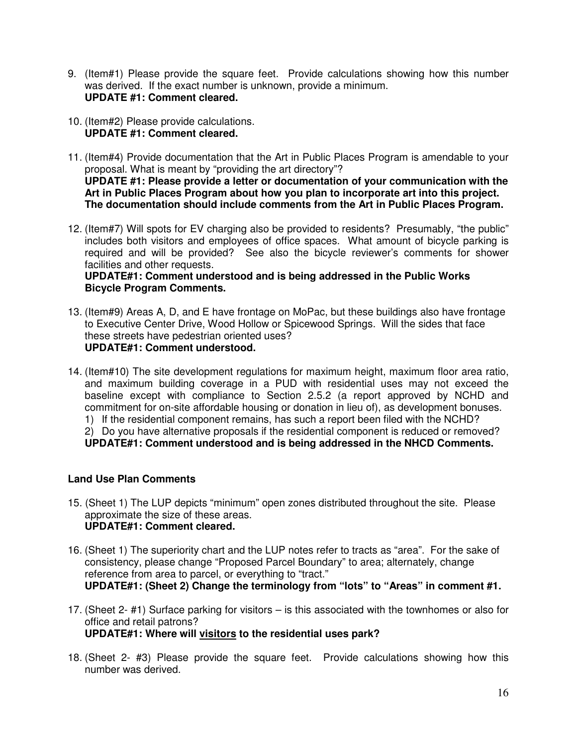- 9. (Item#1) Please provide the square feet. Provide calculations showing how this number was derived. If the exact number is unknown, provide a minimum. **UPDATE #1: Comment cleared.**
- 10. (Item#2) Please provide calculations. **UPDATE #1: Comment cleared.**
- 11. (Item#4) Provide documentation that the Art in Public Places Program is amendable to your proposal. What is meant by "providing the art directory"? **UPDATE #1: Please provide a letter or documentation of your communication with the Art in Public Places Program about how you plan to incorporate art into this project. The documentation should include comments from the Art in Public Places Program.**
- 12. (Item#7) Will spots for EV charging also be provided to residents? Presumably, "the public" includes both visitors and employees of office spaces. What amount of bicycle parking is required and will be provided? See also the bicycle reviewer's comments for shower facilities and other requests.

#### **UPDATE#1: Comment understood and is being addressed in the Public Works Bicycle Program Comments.**

- 13. (Item#9) Areas A, D, and E have frontage on MoPac, but these buildings also have frontage to Executive Center Drive, Wood Hollow or Spicewood Springs. Will the sides that face these streets have pedestrian oriented uses? **UPDATE#1: Comment understood.**
- 14. (Item#10) The site development regulations for maximum height, maximum floor area ratio, and maximum building coverage in a PUD with residential uses may not exceed the baseline except with compliance to Section 2.5.2 (a report approved by NCHD and commitment for on-site affordable housing or donation in lieu of), as development bonuses. 1) If the residential component remains, has such a report been filed with the NCHD? 2) Do you have alternative proposals if the residential component is reduced or removed?

**UPDATE#1: Comment understood and is being addressed in the NHCD Comments.** 

### **Land Use Plan Comments**

- 15. (Sheet 1) The LUP depicts "minimum" open zones distributed throughout the site. Please approximate the size of these areas. **UPDATE#1: Comment cleared.**
- 16. (Sheet 1) The superiority chart and the LUP notes refer to tracts as "area". For the sake of consistency, please change "Proposed Parcel Boundary" to area; alternately, change reference from area to parcel, or everything to "tract." **UPDATE#1: (Sheet 2) Change the terminology from "lots" to "Areas" in comment #1.**
- 17. (Sheet 2- #1) Surface parking for visitors is this associated with the townhomes or also for office and retail patrons? **UPDATE#1: Where will visitors to the residential uses park?**
- 18. (Sheet 2- #3) Please provide the square feet. Provide calculations showing how this number was derived.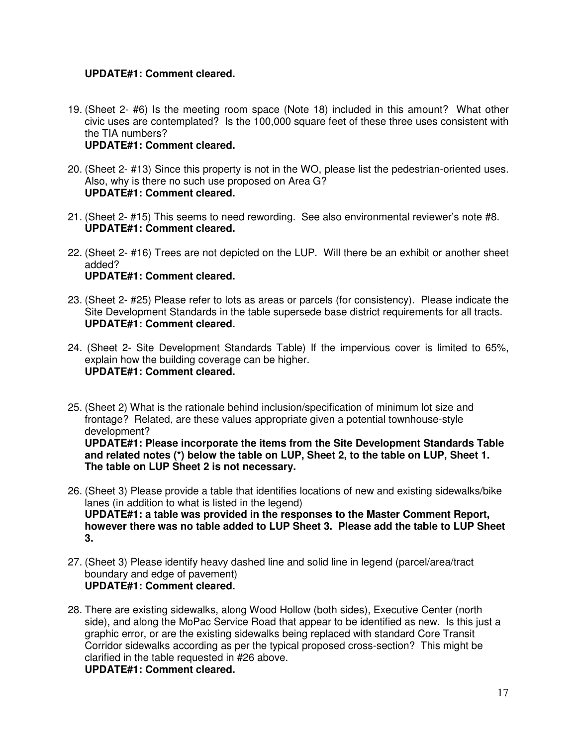### **UPDATE#1: Comment cleared.**

- 19. (Sheet 2- #6) Is the meeting room space (Note 18) included in this amount? What other civic uses are contemplated? Is the 100,000 square feet of these three uses consistent with the TIA numbers? **UPDATE#1: Comment cleared.**
- 20. (Sheet 2- #13) Since this property is not in the WO, please list the pedestrian-oriented uses. Also, why is there no such use proposed on Area G? **UPDATE#1: Comment cleared.**
- 21. (Sheet 2- #15) This seems to need rewording. See also environmental reviewer's note #8. **UPDATE#1: Comment cleared.**
- 22. (Sheet 2- #16) Trees are not depicted on the LUP. Will there be an exhibit or another sheet added? **UPDATE#1: Comment cleared.**
- 23. (Sheet 2- #25) Please refer to lots as areas or parcels (for consistency). Please indicate the Site Development Standards in the table supersede base district requirements for all tracts. **UPDATE#1: Comment cleared.**
- 24. (Sheet 2- Site Development Standards Table) If the impervious cover is limited to 65%, explain how the building coverage can be higher. **UPDATE#1: Comment cleared.**
- 25. (Sheet 2) What is the rationale behind inclusion/specification of minimum lot size and frontage? Related, are these values appropriate given a potential townhouse-style development? **UPDATE#1: Please incorporate the items from the Site Development Standards Table and related notes (\*) below the table on LUP, Sheet 2, to the table on LUP, Sheet 1. The table on LUP Sheet 2 is not necessary.**
- 26. (Sheet 3) Please provide a table that identifies locations of new and existing sidewalks/bike lanes (in addition to what is listed in the legend) **UPDATE#1: a table was provided in the responses to the Master Comment Report, however there was no table added to LUP Sheet 3. Please add the table to LUP Sheet 3.**
- 27. (Sheet 3) Please identify heavy dashed line and solid line in legend (parcel/area/tract boundary and edge of pavement) **UPDATE#1: Comment cleared.**
- 28. There are existing sidewalks, along Wood Hollow (both sides), Executive Center (north side), and along the MoPac Service Road that appear to be identified as new. Is this just a graphic error, or are the existing sidewalks being replaced with standard Core Transit Corridor sidewalks according as per the typical proposed cross-section? This might be clarified in the table requested in #26 above.

**UPDATE#1: Comment cleared.**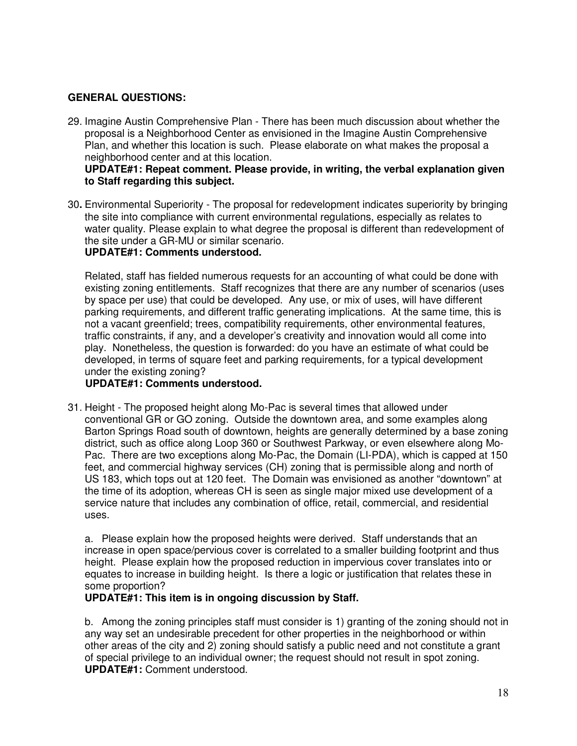### **GENERAL QUESTIONS:**

29. Imagine Austin Comprehensive Plan - There has been much discussion about whether the proposal is a Neighborhood Center as envisioned in the Imagine Austin Comprehensive Plan, and whether this location is such. Please elaborate on what makes the proposal a neighborhood center and at this location.

#### **UPDATE#1: Repeat comment. Please provide, in writing, the verbal explanation given to Staff regarding this subject.**

30**.** Environmental Superiority - The proposal for redevelopment indicates superiority by bringing the site into compliance with current environmental regulations, especially as relates to water quality. Please explain to what degree the proposal is different than redevelopment of the site under a GR-MU or similar scenario. **UPDATE#1: Comments understood.** 

Related, staff has fielded numerous requests for an accounting of what could be done with existing zoning entitlements. Staff recognizes that there are any number of scenarios (uses by space per use) that could be developed. Any use, or mix of uses, will have different parking requirements, and different traffic generating implications. At the same time, this is not a vacant greenfield; trees, compatibility requirements, other environmental features, traffic constraints, if any, and a developer's creativity and innovation would all come into play. Nonetheless, the question is forwarded: do you have an estimate of what could be developed, in terms of square feet and parking requirements, for a typical development under the existing zoning?

# **UPDATE#1: Comments understood.**

31. Height - The proposed height along Mo-Pac is several times that allowed under conventional GR or GO zoning. Outside the downtown area, and some examples along Barton Springs Road south of downtown, heights are generally determined by a base zoning district, such as office along Loop 360 or Southwest Parkway, or even elsewhere along Mo-Pac. There are two exceptions along Mo-Pac, the Domain (LI-PDA), which is capped at 150 feet, and commercial highway services (CH) zoning that is permissible along and north of US 183, which tops out at 120 feet. The Domain was envisioned as another "downtown" at the time of its adoption, whereas CH is seen as single major mixed use development of a service nature that includes any combination of office, retail, commercial, and residential uses.

a. Please explain how the proposed heights were derived. Staff understands that an increase in open space/pervious cover is correlated to a smaller building footprint and thus height. Please explain how the proposed reduction in impervious cover translates into or equates to increase in building height. Is there a logic or justification that relates these in some proportion?

### **UPDATE#1: This item is in ongoing discussion by Staff.**

b. Among the zoning principles staff must consider is 1) granting of the zoning should not in any way set an undesirable precedent for other properties in the neighborhood or within other areas of the city and 2) zoning should satisfy a public need and not constitute a grant of special privilege to an individual owner; the request should not result in spot zoning. **UPDATE#1:** Comment understood.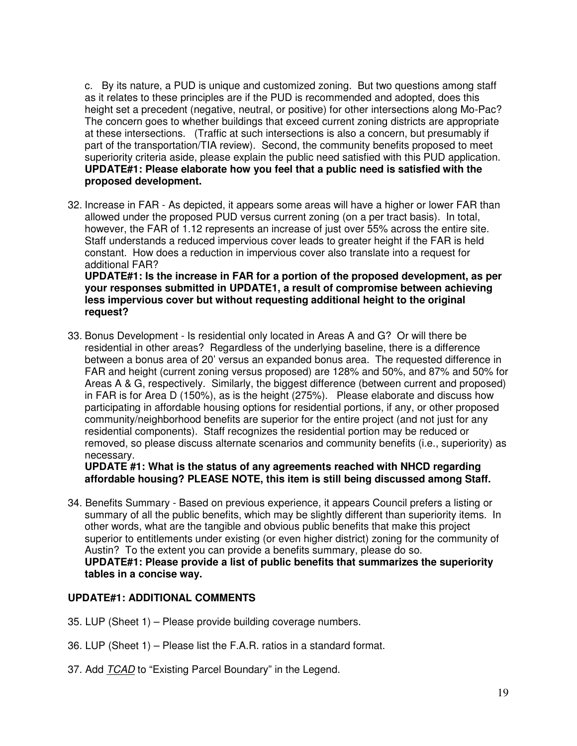c. By its nature, a PUD is unique and customized zoning. But two questions among staff as it relates to these principles are if the PUD is recommended and adopted, does this height set a precedent (negative, neutral, or positive) for other intersections along Mo-Pac? The concern goes to whether buildings that exceed current zoning districts are appropriate at these intersections. (Traffic at such intersections is also a concern, but presumably if part of the transportation/TIA review). Second, the community benefits proposed to meet superiority criteria aside, please explain the public need satisfied with this PUD application. **UPDATE#1: Please elaborate how you feel that a public need is satisfied with the proposed development.**

32. Increase in FAR - As depicted, it appears some areas will have a higher or lower FAR than allowed under the proposed PUD versus current zoning (on a per tract basis). In total, however, the FAR of 1.12 represents an increase of just over 55% across the entire site. Staff understands a reduced impervious cover leads to greater height if the FAR is held constant. How does a reduction in impervious cover also translate into a request for additional FAR?

**UPDATE#1: Is the increase in FAR for a portion of the proposed development, as per your responses submitted in UPDATE1, a result of compromise between achieving less impervious cover but without requesting additional height to the original request?**

33. Bonus Development - Is residential only located in Areas A and G? Or will there be residential in other areas? Regardless of the underlying baseline, there is a difference between a bonus area of 20' versus an expanded bonus area. The requested difference in FAR and height (current zoning versus proposed) are 128% and 50%, and 87% and 50% for Areas A & G, respectively. Similarly, the biggest difference (between current and proposed) in FAR is for Area D (150%), as is the height (275%). Please elaborate and discuss how participating in affordable housing options for residential portions, if any, or other proposed community/neighborhood benefits are superior for the entire project (and not just for any residential components). Staff recognizes the residential portion may be reduced or removed, so please discuss alternate scenarios and community benefits (i.e., superiority) as necessary.

#### **UPDATE #1: What is the status of any agreements reached with NHCD regarding affordable housing? PLEASE NOTE, this item is still being discussed among Staff.**

34. Benefits Summary - Based on previous experience, it appears Council prefers a listing or summary of all the public benefits, which may be slightly different than superiority items. In other words, what are the tangible and obvious public benefits that make this project superior to entitlements under existing (or even higher district) zoning for the community of Austin? To the extent you can provide a benefits summary, please do so. **UPDATE#1: Please provide a list of public benefits that summarizes the superiority tables in a concise way.** 

#### **UPDATE#1: ADDITIONAL COMMENTS**

- 35. LUP (Sheet 1) Please provide building coverage numbers.
- 36. LUP (Sheet 1) Please list the F.A.R. ratios in a standard format.
- 37. Add TCAD to "Existing Parcel Boundary" in the Legend.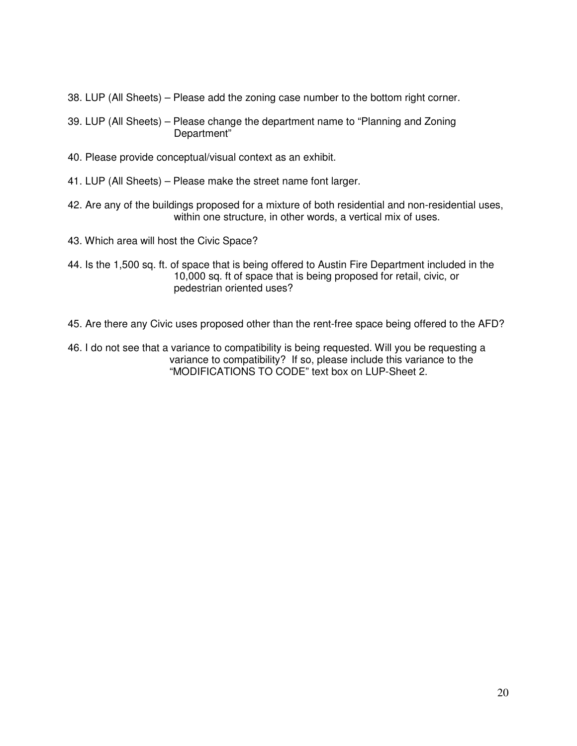- 38. LUP (All Sheets) Please add the zoning case number to the bottom right corner.
- 39. LUP (All Sheets) Please change the department name to "Planning and Zoning Department"
- 40. Please provide conceptual/visual context as an exhibit.
- 41. LUP (All Sheets) Please make the street name font larger.
- 42. Are any of the buildings proposed for a mixture of both residential and non-residential uses, within one structure, in other words, a vertical mix of uses.
- 43. Which area will host the Civic Space?
- 44. Is the 1,500 sq. ft. of space that is being offered to Austin Fire Department included in the 10,000 sq. ft of space that is being proposed for retail, civic, or pedestrian oriented uses?
- 45. Are there any Civic uses proposed other than the rent-free space being offered to the AFD?
- 46. I do not see that a variance to compatibility is being requested. Will you be requesting a variance to compatibility? If so, please include this variance to the "MODIFICATIONS TO CODE" text box on LUP-Sheet 2.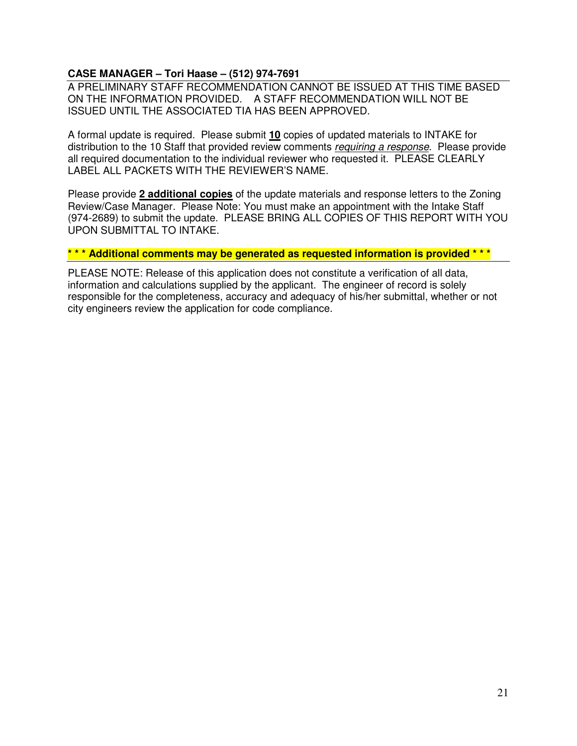### **CASE MANAGER – Tori Haase – (512) 974-7691**

A PRELIMINARY STAFF RECOMMENDATION CANNOT BE ISSUED AT THIS TIME BASED ON THE INFORMATION PROVIDED. A STAFF RECOMMENDATION WILL NOT BE ISSUED UNTIL THE ASSOCIATED TIA HAS BEEN APPROVED.

A formal update is required. Please submit **10** copies of updated materials to INTAKE for distribution to the 10 Staff that provided review comments *requiring a response*. Please provide all required documentation to the individual reviewer who requested it. PLEASE CLEARLY LABEL ALL PACKETS WITH THE REVIEWER'S NAME.

Please provide **2 additional copies** of the update materials and response letters to the Zoning Review/Case Manager. Please Note: You must make an appointment with the Intake Staff (974-2689) to submit the update. PLEASE BRING ALL COPIES OF THIS REPORT WITH YOU UPON SUBMITTAL TO INTAKE.

#### **\* \* \* Additional comments may be generated as requested information is provided \* \* \***

PLEASE NOTE: Release of this application does not constitute a verification of all data, information and calculations supplied by the applicant. The engineer of record is solely responsible for the completeness, accuracy and adequacy of his/her submittal, whether or not city engineers review the application for code compliance.